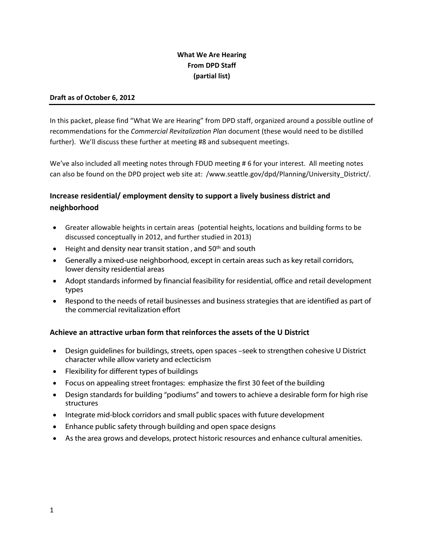## **What We Are Hearing From DPD Staff (partial list)**

#### **Draft as of October 6, 2012**

In this packet, please find "What We are Hearing" from DPD staff, organized around a possible outline of recommendations for the *Commercial Revitalization Plan* document (these would need to be distilled further). We'll discuss these further at meeting #8 and subsequent meetings.

We've also included all meeting notes through FDUD meeting # 6 for your interest. All meeting notes can also be found on the DPD project web site at: /www.seattle.gov/dpd/Planning/University\_District/.

# **Increase residential/ employment density to support a lively business district and neighborhood**

- Greater allowable heights in certain areas (potential heights, locations and building forms to be discussed conceptually in 2012, and further studied in 2013)
- Height and density near transit station , and 50th and south
- Generally a mixed-use neighborhood, except in certain areas such as key retail corridors, lower density residential areas
- Adopt standards informed by financial feasibility for residential, office and retail development types
- Respond to the needs of retail businesses and business strategies that are identified as part of the commercial revitalization effort

#### **Achieve an attractive urban form that reinforces the assets of the U District**

- Design guidelines for buildings, streets, open spaces –seek to strengthen cohesive U District character while allow variety and eclecticism
- Flexibility for different types of buildings
- Focus on appealing street frontages: emphasize the first 30 feet of the building
- Design standards for building "podiums" and towers to achieve a desirable form for high rise structures
- Integrate mid-block corridors and small public spaces with future development
- Enhance public safety through building and open space designs
- As the area grows and develops, protect historic resources and enhance cultural amenities.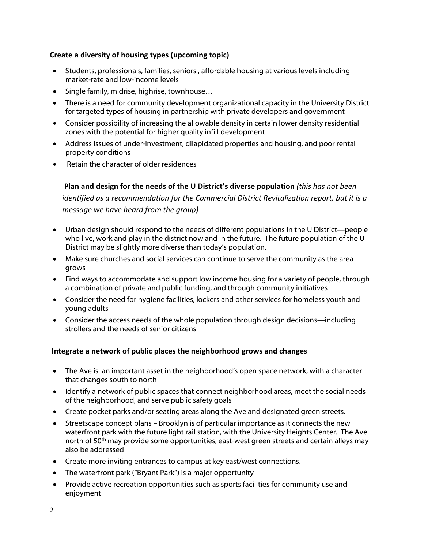### **Create a diversity of housing types (upcoming topic)**

- Students, professionals, families, seniors , affordable housing at various levels including market-rate and low-income levels
- Single family, midrise, highrise, townhouse…
- There is a need for community development organizational capacity in the University District for targeted types of housing in partnership with private developers and government
- Consider possibility of increasing the allowable density in certain lower density residential zones with the potential for higher quality infill development
- Address issues of under-investment, dilapidated properties and housing, and poor rental property conditions
- Retain the character of older residences

**Plan and design for the needs of the U District's diverse population** *(this has not been identified as a recommendation for the Commercial District Revitalization report, but it is a message we have heard from the group)*

- Urban design should respond to the needs of different populations in the U District—people who live, work and play in the district now and in the future. The future population of the U District may be slightly more diverse than today's population.
- Make sure churches and social services can continue to serve the community as the area grows
- Find ways to accommodate and support low income housing for a variety of people, through a combination of private and public funding, and through community initiatives
- Consider the need for hygiene facilities, lockers and other services for homeless youth and young adults
- Consider the access needs of the whole population through design decisions—including strollers and the needs of senior citizens

#### **Integrate a network of public places the neighborhood grows and changes**

- The Ave is an important asset in the neighborhood's open space network, with a character that changes south to north
- Identify a network of public spaces that connect neighborhood areas, meet the social needs of the neighborhood, and serve public safety goals
- Create pocket parks and/or seating areas along the Ave and designated green streets.
- Streetscape concept plans Brooklyn is of particular importance as it connects the new waterfront park with the future light rail station, with the University Heights Center. The Ave north of 50<sup>th</sup> may provide some opportunities, east-west green streets and certain alleys may also be addressed
- Create more inviting entrances to campus at key east/west connections.
- The waterfront park ("Bryant Park") is a major opportunity
- Provide active recreation opportunities such as sports facilities for community use and enjoyment